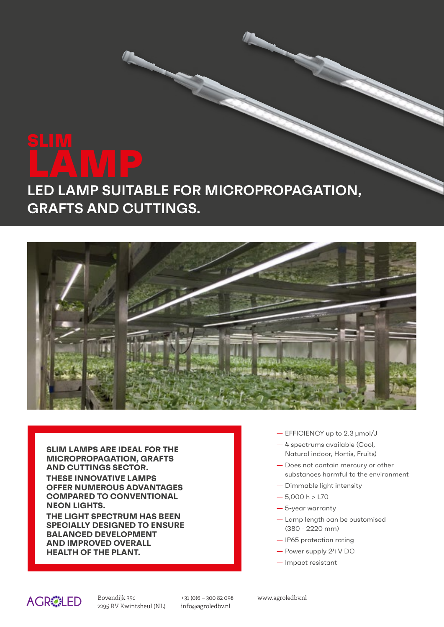# **LAMP LED LAMP SUITABLE FOR MICROPROPAGATION, GRAFTS AND CUTTINGS.**



**SLIM LAMPS ARE IDEAL FOR THE MICROPROPAGATION, GRAFTS AND CUTTINGS SECTOR. THESE INNOVATIVE LAMPS OFFER NUMEROUS ADVANTAGES COMPARED TO CONVENTIONAL NEON LIGHTS.**

**THE LIGHT SPECTRUM HAS BEEN SPECIALLY DESIGNED TO ENSURE BALANCED DEVELOPMENT AND IMPROVED OVERALL HEALTH OF THE PLANT.**

- EFFICIENCY up to 2.3 µmol/J
- 4 spectrums available (Cool, Natural indoor, Hortis, Fruits)
- Does not contain mercury or other substances harmful to the environment
- Dimmable light intensity
- $-5.000 h > L70$
- 5-year warranty
- Lamp length can be customised (380 - 2220 mm)
- IP65 protection rating
- Power supply 24 V DC
- Impact resistant



:+<br>2295 RV Kwintsheul (NL) in Bovendijk 35c

+31 (0)6 – 300 82 098 www.agroledbv.nl Tel. +39.0542.654980 info@agroledbv.nl Fax +39 0542 653344

**i**<br>**i**nfo@cord.itt